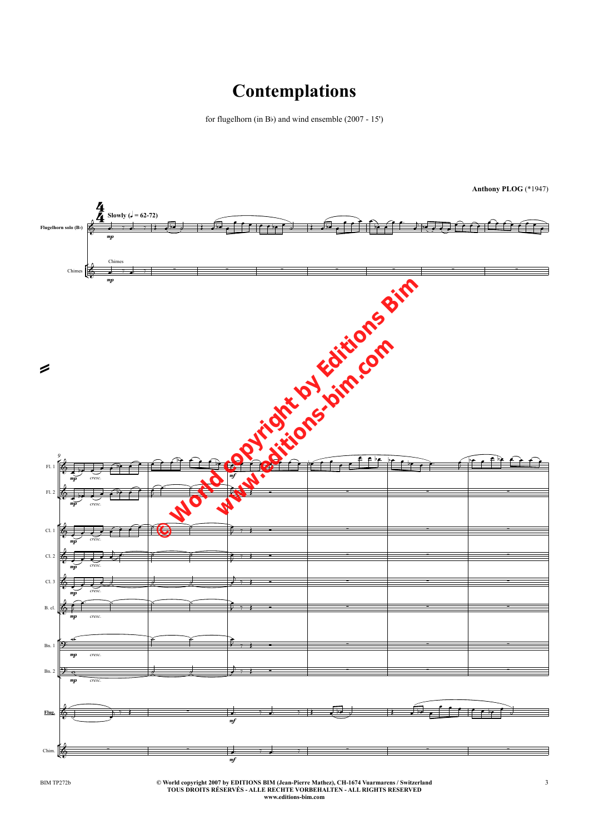## **Contemplations**

for flugelhorn (in Bb) and wind ensemble (2007 - 15')



**© World copyright 2007 by EDITIONS BIM (Jean-Pierre Mathez), CH-1674 Vuarmarens / Switzerland TOUS DROITS RÉSERVÉS - ALLE RECHTE VORBEHALTEN - ALL RIGHTS RESERVED www.editions-bim.com** BIM TP272b 3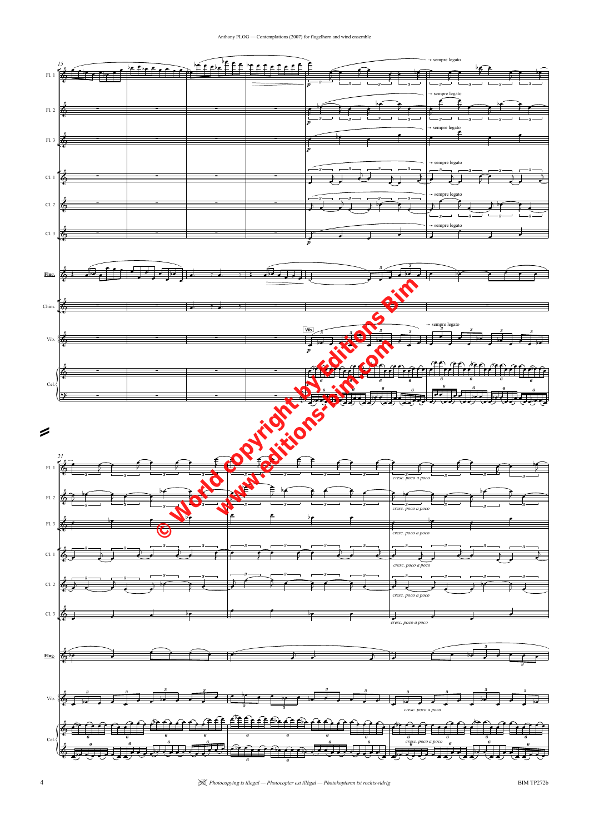Anthony PLOG — Contemplations (2007) for flugelhorn and wind ensemble

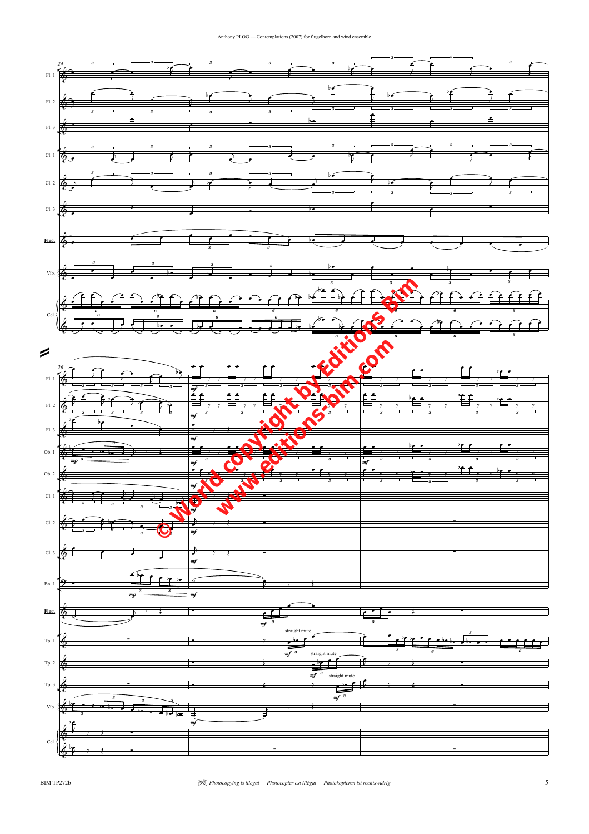## Anthony PLOG — Contemplations (2007) for flugelhorn and wind ensemble

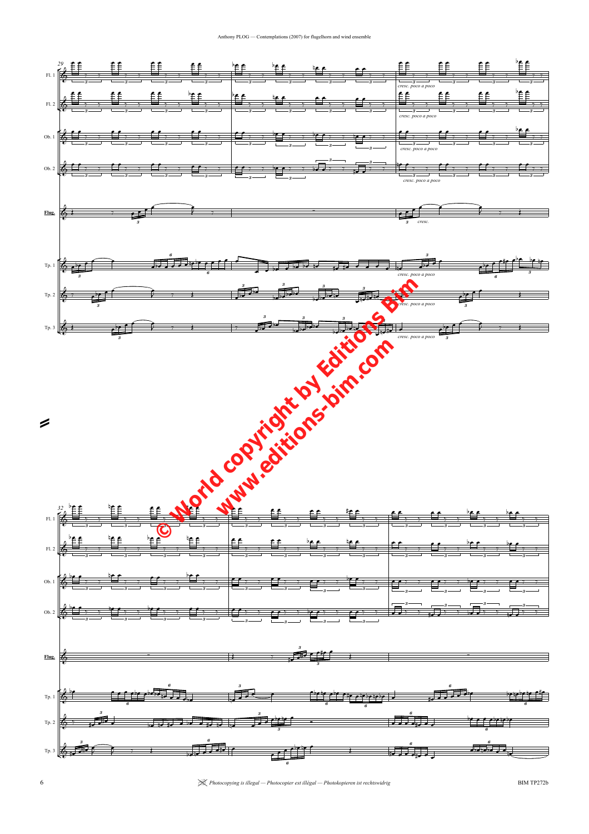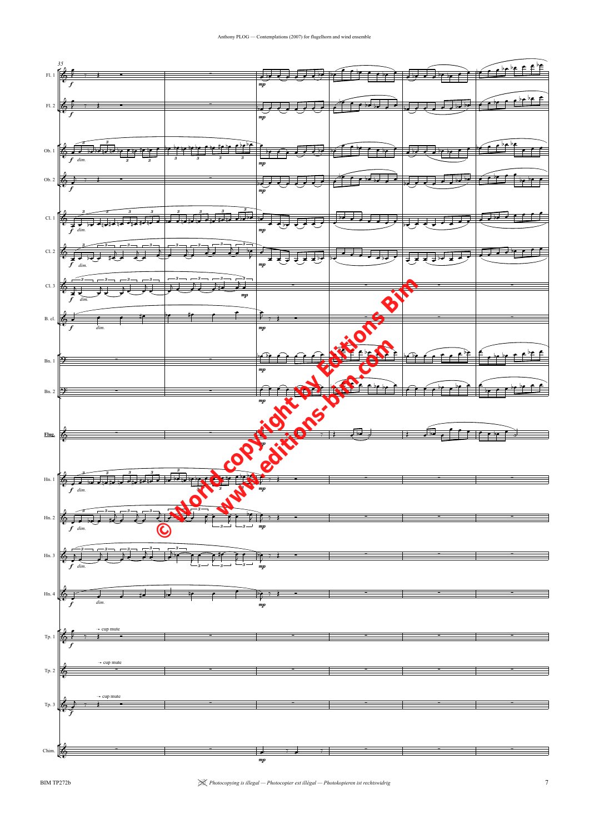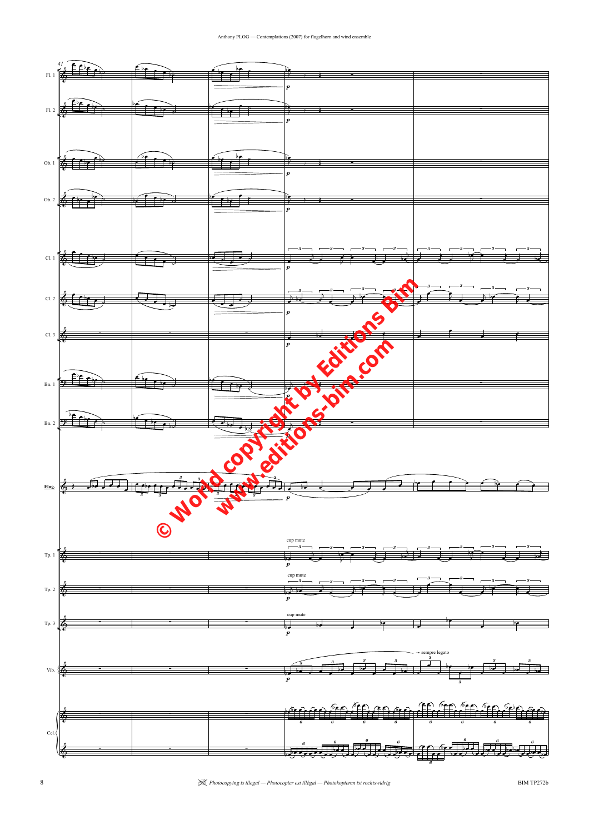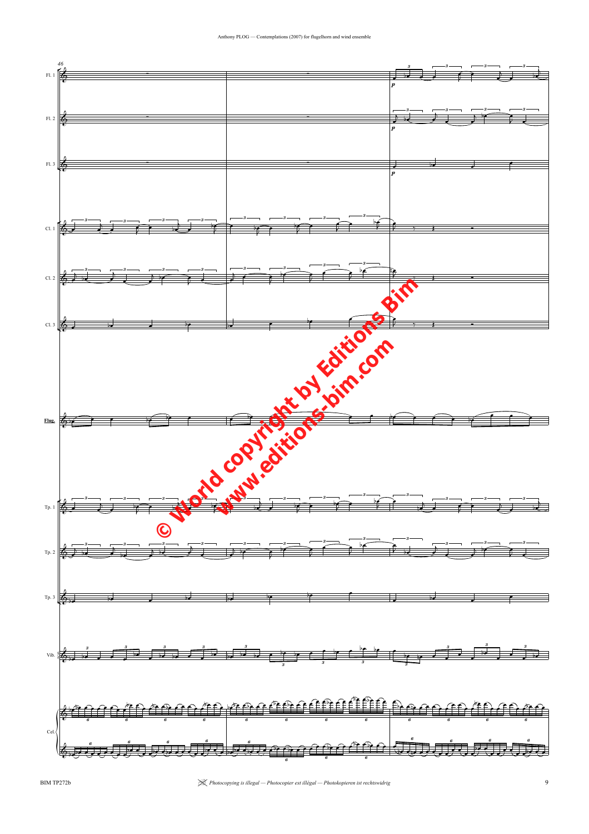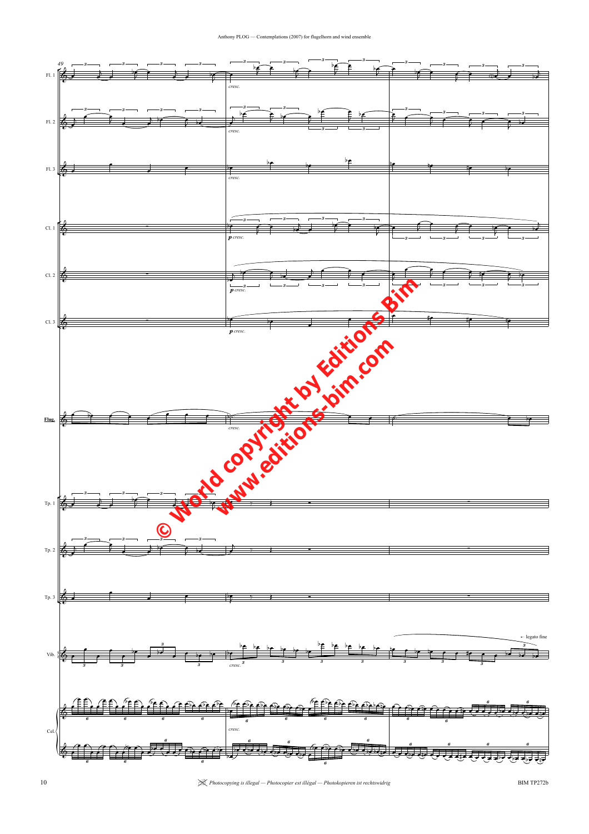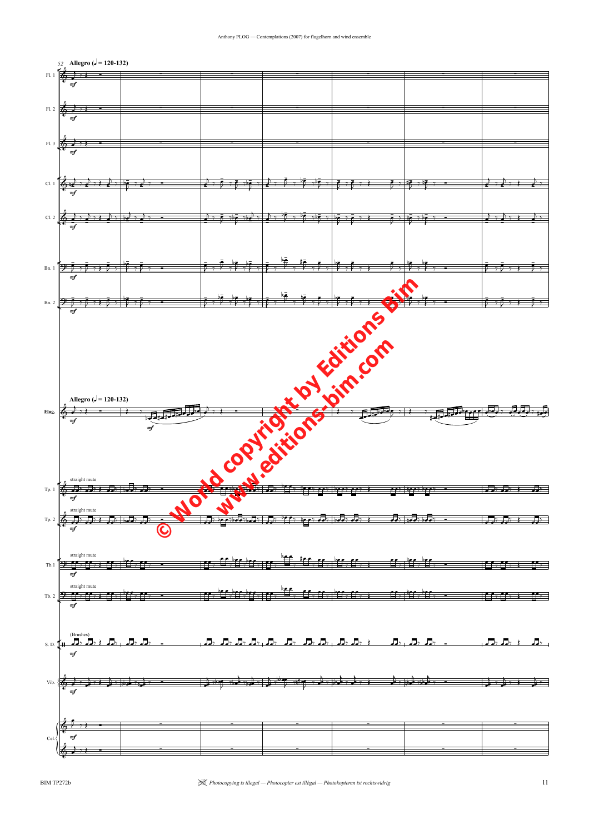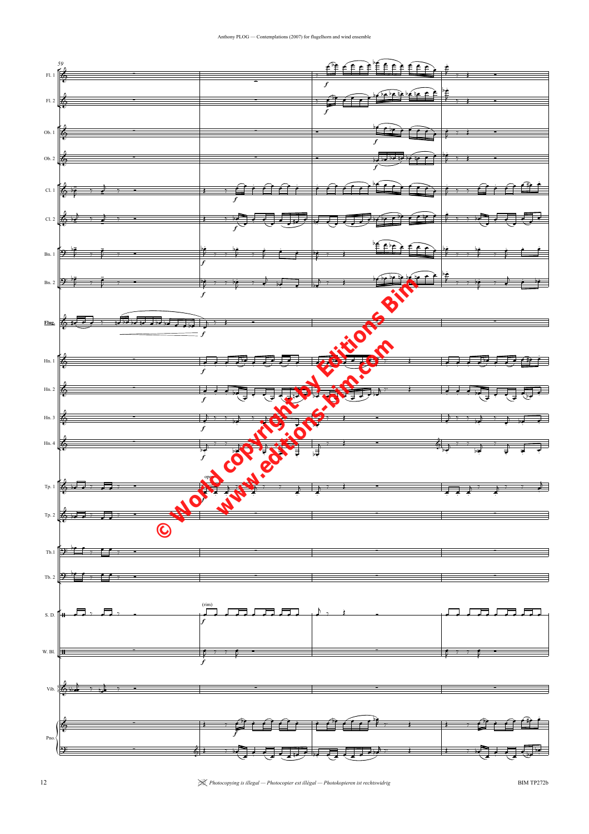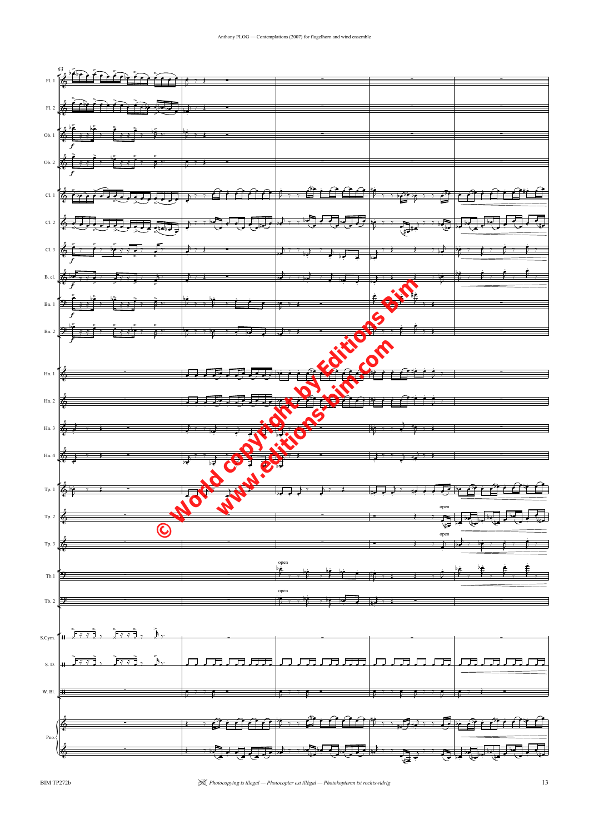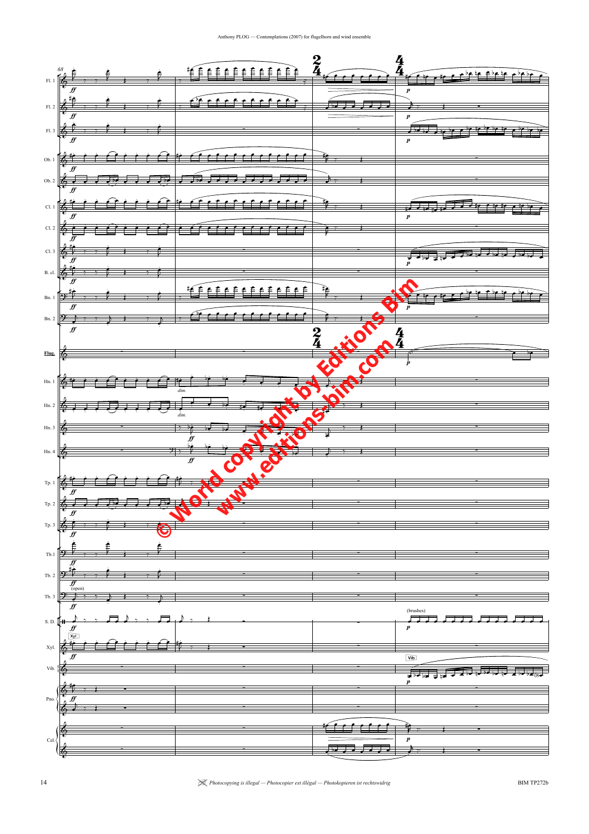Anthony PLOG — Contemplations (2007) for flugelhorn and wind ensemble